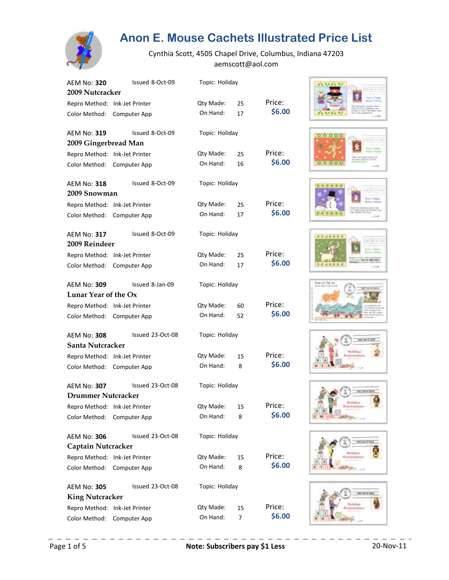

| AEM No: 320<br>2009 Nutcracker | Issued 8-Oct-09  | Topic: Holiday |          |        |
|--------------------------------|------------------|----------------|----------|--------|
|                                |                  | Qty Made:      |          | Price: |
| Repro Method: Ink-Jet Printer  |                  | On Hand:       | 25<br>17 | \$6.00 |
| Color Method:                  | Computer App     |                |          |        |
| AEM No: 319                    | Issued 8-Oct-09  | Topic: Holiday |          |        |
| 2009 Gingerbread Man           |                  |                |          |        |
| Repro Method: Ink-Jet Printer  |                  | Qty Made:      | 25       | Price: |
| Color Method:                  | Computer App     | On Hand:       | 16       | \$6.00 |
| <b>AEM No: 318</b>             | Issued 8-Oct-09  | Topic: Holiday |          |        |
| 2009 Snowman                   |                  |                |          |        |
| Repro Method:                  | Ink-Jet Printer  | Qty Made:      | 25       | Price: |
| Color Method:                  | Computer App     | On Hand:       | 17       | \$6.00 |
| <b>AEM No: 317</b>             | Issued 8-Oct-09  | Topic: Holiday |          |        |
| 2009 Reindeer                  |                  |                |          |        |
| Repro Method: Ink-Jet Printer  |                  | Qty Made:      | 25       | Price: |
| Color Method:                  | Computer App     | On Hand:       | 17       | \$6.00 |
| AEM No: 309                    | Issued 8-Jan-09  | Topic: Holiday |          |        |
| Lunar Year of the Ox           |                  |                |          |        |
| Repro Method: Ink-Jet Printer  |                  | Qty Made:      | 60       | Price: |
| Color Method:                  | Computer App     | On Hand:       | 52       | \$6.00 |
| AEM No: 308                    | Issued 23-Oct-08 | Topic: Holiday |          |        |
| Santa Nutcracker               |                  |                |          |        |
| Repro Method: Ink-Jet Printer  |                  | Qty Made:      | 15       | Price: |
| Color Method:                  | Computer App     | On Hand:       | 8        | \$6.00 |
| AEM No: 307                    | Issued 23-Oct-08 | Topic: Holiday |          |        |
| Drummer Nutcracker             |                  |                |          |        |
| Repro Method: Ink-Jet Printer  |                  | Qty Made:      | 15       | Price: |
| Color Method:                  | Computer App     | On Hand:       | 8        | \$6.00 |
| AEM No: 306                    | Issued 23-Oct-08 | Topic: Holiday |          |        |
| Captain Nutcracker             |                  |                |          |        |
| Repro Method: Ink-Jet Printer  |                  | Qty Made:      | 15       | Price: |
| Color Method:                  | Computer App     | On Hand:       | 8        | \$6.00 |
| <b>AEM No: 305</b>             | Issued 23-Oct-08 | Topic: Holiday |          |        |
| <b>King Nutcracker</b>         |                  |                |          |        |
| Repro Method: Ink-Jet Printer  |                  | Qty Made:      | 15       | Price: |
| Color Method:                  | Computer App     | On Hand:       | 7        | \$6.00 |

















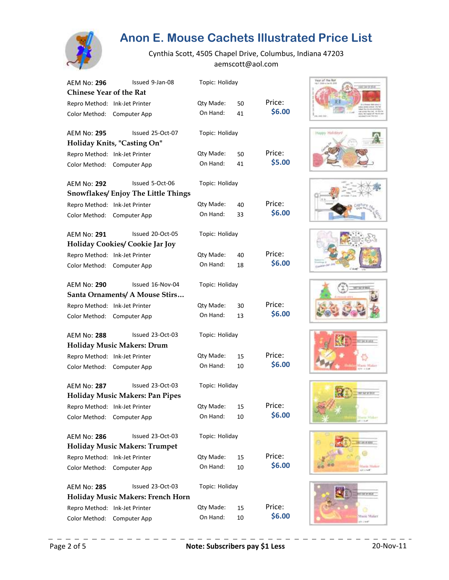

| AEM No: 296                    | Issued 9-Jan-08                           | Topic: Holiday |    |        |
|--------------------------------|-------------------------------------------|----------------|----|--------|
| <b>Chinese Year of the Rat</b> |                                           |                |    |        |
| Repro Method: Ink-Jet Printer  |                                           | Qty Made:      | 50 | Price: |
| Color Method:                  | Computer App                              | On Hand:       | 41 | \$6.00 |
| <b>AEM No: 295</b>             | Issued 25-Oct-07                          | Topic: Holiday |    |        |
|                                | Holiday Knits, "Casting On"               |                |    |        |
| Repro Method: Ink-Jet Printer  |                                           | Qty Made:      | 50 | Price: |
| Color Method:                  | Computer App                              | On Hand:       | 41 | \$5.00 |
| <b>AEM No: 292</b>             | Issued 5-Oct-06                           | Topic: Holiday |    |        |
|                                | <b>Snowflakes/Enjoy The Little Things</b> |                |    |        |
| Repro Method: Ink-Jet Printer  |                                           | Qty Made:      | 40 | Price: |
| Color Method:                  | Computer App                              | On Hand:       | 33 | \$6.00 |
| <b>AEM No: 291</b>             | Issued 20-Oct-05                          | Topic: Holiday |    |        |
|                                | <b>Holiday Cookies/ Cookie Jar Joy</b>    |                |    |        |
| Repro Method:                  | Ink-Jet Printer                           | Qty Made:      | 40 | Price: |
| Color Method:                  | Computer App                              | On Hand:       | 18 | \$6.00 |
| <b>AEM No: 290</b>             | Issued 16-Nov-04                          | Topic: Holiday |    |        |
|                                | Santa Ornaments/ A Mouse Stirs            |                |    |        |
| Repro Method: Ink-Jet Printer  |                                           | Qty Made:      | 30 | Price: |
| Color Method:                  | Computer App                              | On Hand:       | 13 | \$6.00 |
| <b>AEM No: 288</b>             | Issued 23-Oct-03                          | Topic: Holiday |    |        |
|                                | <b>Holiday Music Makers: Drum</b>         |                |    |        |
| Repro Method: Ink-Jet Printer  |                                           | Qty Made:      | 15 | Price: |
| Color Method:                  | Computer App                              | On Hand:       | 10 | \$6.00 |
| <b>AEM No: 287</b>             | Issued 23-Oct-03                          | Topic: Holiday |    |        |
|                                | <b>Holiday Music Makers: Pan Pipes</b>    |                |    |        |
|                                | Repro Method: Ink-Jet Printer             | Qty Made:      | 15 | Price: |
| Color Method:                  | Computer App                              | On Hand:       | 10 | \$6.00 |
| <b>AEM No: 286</b>             | Issued 23-Oct-03                          | Topic: Holiday |    |        |
|                                | <b>Holiday Music Makers: Trumpet</b>      |                |    |        |
| Repro Method: Ink-Jet Printer  |                                           | Qty Made:      | 15 | Price: |
| Color Method:                  | Computer App                              | On Hand:       | 10 | \$6.00 |
| <b>AEM No: 285</b>             | Issued 23-Oct-03                          | Topic: Holiday |    |        |
|                                | Holiday Music Makers: French Horn         |                |    |        |
| Repro Method: Ink-Jet Printer  |                                           | Qty Made:      | 15 | Price: |
| Color Method:                  | Computer App                              | On Hand:       | 10 | \$6.00 |

















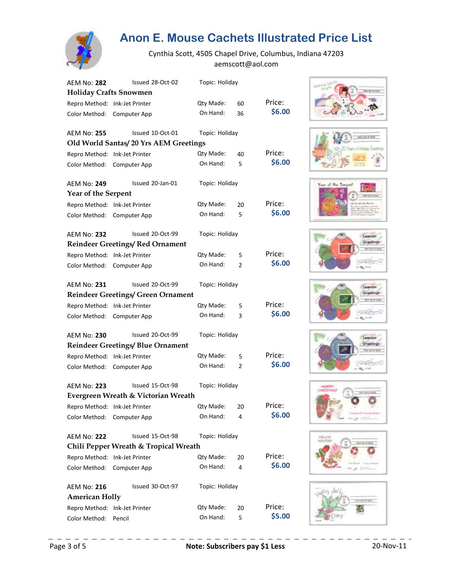

| <b>AEM No: 282</b>            | Issued 28-Oct-02                          | Topic: Holiday |                |        |
|-------------------------------|-------------------------------------------|----------------|----------------|--------|
| <b>Holiday Crafts Snowmen</b> |                                           |                |                |        |
| Repro Method: Ink-Jet Printer |                                           | Qty Made:      | 60             | Price: |
| Color Method:                 | Computer App                              | On Hand:       | 36             | \$6.00 |
| <b>AEM No: 255</b>            | Issued 10-Oct-01                          | Topic: Holiday |                |        |
|                               | Old World Santas/20 Yrs AEM Greetings     |                |                |        |
| Repro Method: Ink-Jet Printer |                                           | Qty Made:      | 40             | Price: |
| Color Method:                 | Computer App                              | On Hand:       | 5              | \$6.00 |
| AEM No: 249                   | Issued 20-Jan-01                          | Topic: Holiday |                |        |
| <b>Year of the Serpent</b>    |                                           |                |                |        |
| Repro Method: Ink-Jet Printer |                                           | Qty Made:      | 20             | Price: |
| Color Method:                 | Computer App                              | On Hand:       | 5              | \$6.00 |
| <b>AEM No: 232</b>            | Issued 20-Oct-99                          | Topic: Holiday |                |        |
|                               | <b>Reindeer Greetings/Red Ornament</b>    |                |                |        |
| Repro Method: Ink-Jet Printer |                                           | Qty Made:      | 5              | Price: |
| Color Method:                 | Computer App                              | On Hand:       | $\overline{2}$ | \$6.00 |
| AEM No: 231                   | Issued 20-Oct-99                          | Topic: Holiday |                |        |
|                               | <b>Reindeer Greetings/ Green Ornament</b> |                |                |        |
| Repro Method: Ink-Jet Printer |                                           | Qty Made:      | 5              | Price: |
| Color Method:                 | Computer App                              | On Hand:       | 3              | \$6.00 |
| <b>AEM No: 230</b>            | Issued 20-Oct-99                          | Topic: Holiday |                |        |
|                               | <b>Reindeer Greetings/ Blue Ornament</b>  |                |                |        |
| Repro Method: Ink-Jet Printer |                                           | Qty Made:      | 5              | Price: |
| Color Method:                 | Computer App                              | On Hand:       | 2              | \$6.00 |
| <b>AEM No: 223</b>            | Issued 15-Oct-98                          | Topic: Holiday |                |        |
|                               | Evergreen Wreath & Victorian Wreath       |                |                |        |
|                               | Repro Method: Ink-Jet Printer             | Qty Made: 20   |                | Price: |
| Color Method:                 | Computer App                              | On Hand:       | 4              | \$6.00 |
| <b>AEM No: 222</b>            | Issued 15-Oct-98                          | Topic: Holiday |                |        |
|                               | Chili Pepper Wreath & Tropical Wreath     |                |                |        |
| Repro Method: Ink-Jet Printer |                                           | Qty Made:      | 20             | Price: |
| Color Method:                 | Computer App                              | On Hand:       | 4              | \$6.00 |
| <b>AEM No: 216</b>            | Issued 30-Oct-97                          | Topic: Holiday |                |        |
| <b>American Holly</b>         |                                           |                |                |        |
| Repro Method: Ink-Jet Printer |                                           | Qty Made:      | 20             | Price: |
| Color Method:                 | Pencil                                    | On Hand:       | 5              | \$5.00 |

















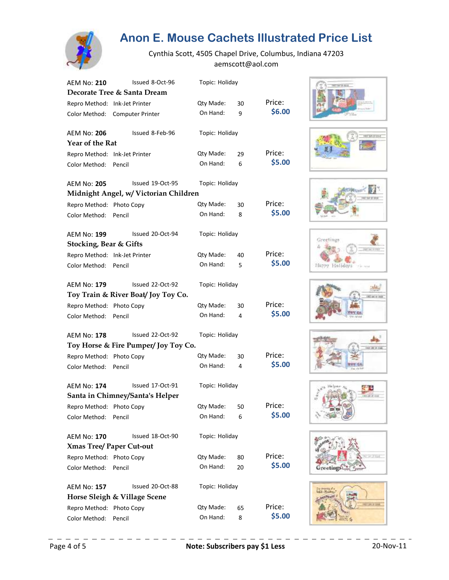

| AEM No: 210                       | Issued 8-Oct-96                       | Topic: Holiday |    |        |
|-----------------------------------|---------------------------------------|----------------|----|--------|
|                                   | Decorate Tree & Santa Dream           |                |    |        |
| Repro Method: Ink-Jet Printer     |                                       | Qty Made:      | 30 | Price: |
| Color Method:                     | <b>Computer Printer</b>               | On Hand:       | 9  | \$6.00 |
| AEM No: 206                       | Issued 8-Feb-96                       | Topic: Holiday |    |        |
| Year of the Rat                   |                                       |                |    |        |
| Repro Method: Ink-Jet Printer     |                                       | Qty Made:      | 29 | Price: |
| Color Method:                     | Pencil                                | On Hand:       | 6  | \$5.00 |
| <b>AEM No: 205</b>                | Issued 19-Oct-95                      | Topic: Holiday |    |        |
|                                   | Midnight Angel, w/ Victorian Children |                |    |        |
| Repro Method: Photo Copy          |                                       | Qty Made:      | 30 | Price: |
| Color Method:                     | Pencil                                | On Hand:       | 8  | \$5.00 |
| AEM No: 199                       | Issued 20-Oct-94                      | Topic: Holiday |    |        |
| <b>Stocking, Bear &amp; Gifts</b> |                                       |                |    |        |
| Repro Method: Ink-Jet Printer     |                                       | Qty Made:      | 40 | Price: |
| Color Method:                     | Pencil                                | On Hand:       | 5  | \$5.00 |
| <b>AEM No: 179</b>                | Issued 22-Oct-92                      | Topic: Holiday |    |        |
|                                   | Toy Train & River Boat/Joy Toy Co.    |                |    |        |
| Repro Method: Photo Copy          |                                       | Qty Made:      | 30 | Price: |
| Color Method:                     | Pencil                                | On Hand:       | 4  | \$5.00 |
| AEM No: 178                       | Issued 22-Oct-92                      | Topic: Holiday |    |        |
|                                   | Toy Horse & Fire Pumper/Joy Toy Co.   |                |    |        |
| Repro Method: Photo Copy          |                                       | Qty Made:      | 30 | Price: |
| Color Method:                     | Pencil                                | On Hand:       | 4  | \$5.00 |
| <b>AEM No: 174</b>                | Issued 17-Oct-91                      | Topic: Holiday |    |        |
|                                   | Santa in Chimney/Santa's Helper       |                |    |        |
| Repro Method: Photo Copy          |                                       | Qty Made: 50   |    | Price: |
| Color Method:                     | Pencil                                | On Hand:       | 6  | \$5.00 |
| AEM No: 170                       | Issued 18-Oct-90                      | Topic: Holiday |    |        |
|                                   | <b>Xmas Tree/ Paper Cut-out</b>       |                |    |        |
| Repro Method: Photo Copy          |                                       | Qty Made:      | 80 | Price: |
| Color Method:                     | Pencil                                | On Hand:       | 20 | \$5.00 |
| <b>AEM No: 157</b>                | Issued 20-Oct-88                      | Topic: Holiday |    |        |
|                                   | Horse Sleigh & Village Scene          |                |    |        |
| Repro Method: Photo Copy          |                                       | Qty Made:      | 65 | Price: |
| Color Method:                     | Pencil                                | On Hand:       | 8  | \$5.00 |